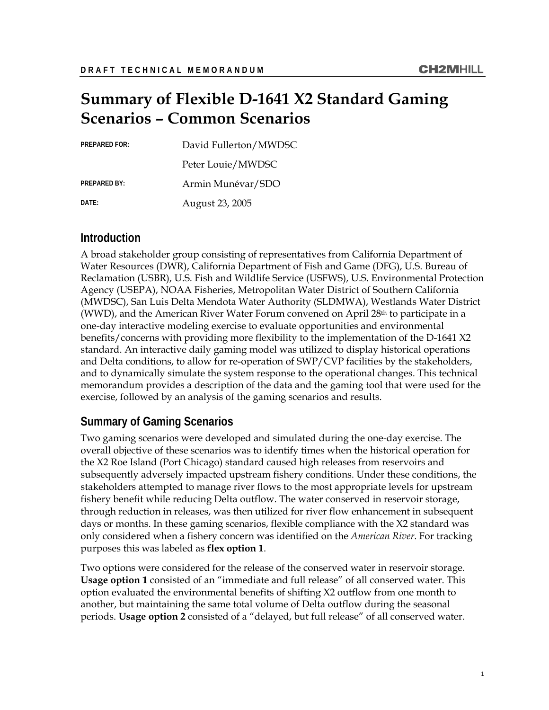# **Summary of Flexible D-1641 X2 Standard Gaming Scenarios – Common Scenarios**

| <b>PREPARED FOR:</b> | David Fullerton/MWDSC |
|----------------------|-----------------------|
|                      | Peter Louie/MWDSC     |
| <b>PREPARED BY:</b>  | Armin Munévar/SDO     |
| DATE:                | August 23, 2005       |

### **Introduction**

A broad stakeholder group consisting of representatives from California Department of Water Resources (DWR), California Department of Fish and Game (DFG), U.S. Bureau of Reclamation (USBR), U.S. Fish and Wildlife Service (USFWS), U.S. Environmental Protection Agency (USEPA), NOAA Fisheries, Metropolitan Water District of Southern California (MWDSC), San Luis Delta Mendota Water Authority (SLDMWA), Westlands Water District (WWD), and the American River Water Forum convened on April  $28<sup>th</sup>$  to participate in a one-day interactive modeling exercise to evaluate opportunities and environmental benefits/concerns with providing more flexibility to the implementation of the D-1641 X2 standard. An interactive daily gaming model was utilized to display historical operations and Delta conditions, to allow for re-operation of SWP/CVP facilities by the stakeholders, and to dynamically simulate the system response to the operational changes. This technical memorandum provides a description of the data and the gaming tool that were used for the exercise, followed by an analysis of the gaming scenarios and results.

### **Summary of Gaming Scenarios**

Two gaming scenarios were developed and simulated during the one-day exercise. The overall objective of these scenarios was to identify times when the historical operation for the X2 Roe Island (Port Chicago) standard caused high releases from reservoirs and subsequently adversely impacted upstream fishery conditions. Under these conditions, the stakeholders attempted to manage river flows to the most appropriate levels for upstream fishery benefit while reducing Delta outflow. The water conserved in reservoir storage, through reduction in releases, was then utilized for river flow enhancement in subsequent days or months. In these gaming scenarios, flexible compliance with the X2 standard was only considered when a fishery concern was identified on the *American River*. For tracking purposes this was labeled as **flex option 1**.

Two options were considered for the release of the conserved water in reservoir storage. **Usage option 1** consisted of an "immediate and full release" of all conserved water. This option evaluated the environmental benefits of shifting X2 outflow from one month to another, but maintaining the same total volume of Delta outflow during the seasonal periods. **Usage option 2** consisted of a "delayed, but full release" of all conserved water.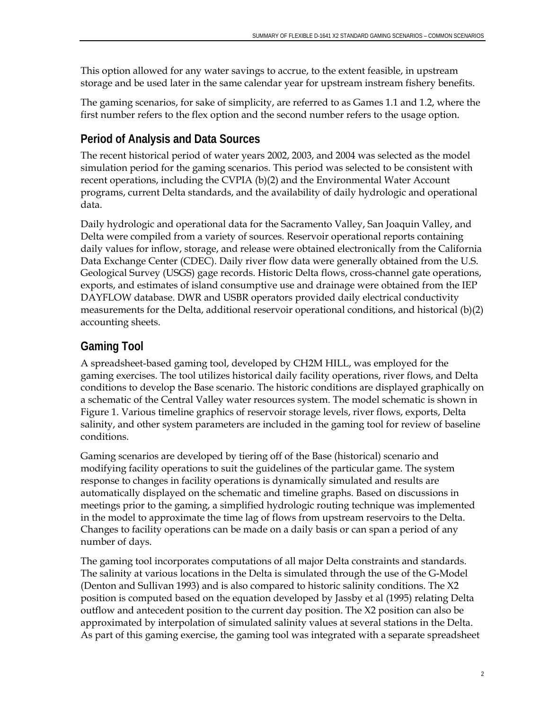This option allowed for any water savings to accrue, to the extent feasible, in upstream storage and be used later in the same calendar year for upstream instream fishery benefits.

The gaming scenarios, for sake of simplicity, are referred to as Games 1.1 and 1.2, where the first number refers to the flex option and the second number refers to the usage option.

# **Period of Analysis and Data Sources**

The recent historical period of water years 2002, 2003, and 2004 was selected as the model simulation period for the gaming scenarios. This period was selected to be consistent with recent operations, including the CVPIA (b)(2) and the Environmental Water Account programs, current Delta standards, and the availability of daily hydrologic and operational data.

Daily hydrologic and operational data for the Sacramento Valley, San Joaquin Valley, and Delta were compiled from a variety of sources. Reservoir operational reports containing daily values for inflow, storage, and release were obtained electronically from the California Data Exchange Center (CDEC). Daily river flow data were generally obtained from the U.S. Geological Survey (USGS) gage records. Historic Delta flows, cross-channel gate operations, exports, and estimates of island consumptive use and drainage were obtained from the IEP DAYFLOW database. DWR and USBR operators provided daily electrical conductivity measurements for the Delta, additional reservoir operational conditions, and historical (b)(2) accounting sheets.

# **Gaming Tool**

A spreadsheet-based gaming tool, developed by CH2M HILL, was employed for the gaming exercises. The tool utilizes historical daily facility operations, river flows, and Delta conditions to develop the Base scenario. The historic conditions are displayed graphically on a schematic of the Central Valley water resources system. The model schematic is shown in Figure 1. Various timeline graphics of reservoir storage levels, river flows, exports, Delta salinity, and other system parameters are included in the gaming tool for review of baseline conditions.

Gaming scenarios are developed by tiering off of the Base (historical) scenario and modifying facility operations to suit the guidelines of the particular game. The system response to changes in facility operations is dynamically simulated and results are automatically displayed on the schematic and timeline graphs. Based on discussions in meetings prior to the gaming, a simplified hydrologic routing technique was implemented in the model to approximate the time lag of flows from upstream reservoirs to the Delta. Changes to facility operations can be made on a daily basis or can span a period of any number of days.

The gaming tool incorporates computations of all major Delta constraints and standards. The salinity at various locations in the Delta is simulated through the use of the G-Model (Denton and Sullivan 1993) and is also compared to historic salinity conditions. The X2 position is computed based on the equation developed by Jassby et al (1995) relating Delta outflow and antecedent position to the current day position. The X2 position can also be approximated by interpolation of simulated salinity values at several stations in the Delta. As part of this gaming exercise, the gaming tool was integrated with a separate spreadsheet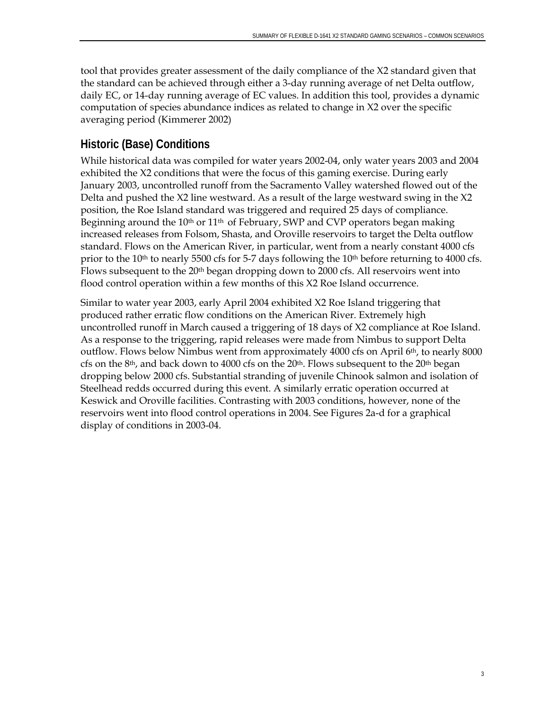tool that provides greater assessment of the daily compliance of the X2 standard given that the standard can be achieved through either a 3-day running average of net Delta outflow, daily EC, or 14-day running average of EC values. In addition this tool, provides a dynamic computation of species abundance indices as related to change in X2 over the specific averaging period (Kimmerer 2002)

# **Historic (Base) Conditions**

While historical data was compiled for water years 2002-04, only water years 2003 and 2004 exhibited the X2 conditions that were the focus of this gaming exercise. During early January 2003, uncontrolled runoff from the Sacramento Valley watershed flowed out of the Delta and pushed the X2 line westward. As a result of the large westward swing in the X2 position, the Roe Island standard was triggered and required 25 days of compliance. Beginning around the  $10<sup>th</sup>$  or  $11<sup>th</sup>$  of February, SWP and CVP operators began making increased releases from Folsom, Shasta, and Oroville reservoirs to target the Delta outflow standard. Flows on the American River, in particular, went from a nearly constant 4000 cfs prior to the  $10<sup>th</sup>$  to nearly 5500 cfs for 5-7 days following the  $10<sup>th</sup>$  before returning to 4000 cfs. Flows subsequent to the 20<sup>th</sup> began dropping down to 2000 cfs. All reservoirs went into flood control operation within a few months of this X2 Roe Island occurrence.

Similar to water year 2003, early April 2004 exhibited X2 Roe Island triggering that produced rather erratic flow conditions on the American River. Extremely high uncontrolled runoff in March caused a triggering of 18 days of X2 compliance at Roe Island. As a response to the triggering, rapid releases were made from Nimbus to support Delta outflow. Flows below Nimbus went from approximately 4000 cfs on April 6th, to nearly 8000 cfs on the 8<sup>th</sup>, and back down to 4000 cfs on the 20<sup>th</sup>. Flows subsequent to the 20<sup>th</sup> began dropping below 2000 cfs. Substantial stranding of juvenile Chinook salmon and isolation of Steelhead redds occurred during this event. A similarly erratic operation occurred at Keswick and Oroville facilities. Contrasting with 2003 conditions, however, none of the reservoirs went into flood control operations in 2004. See Figures 2a-d for a graphical display of conditions in 2003-04.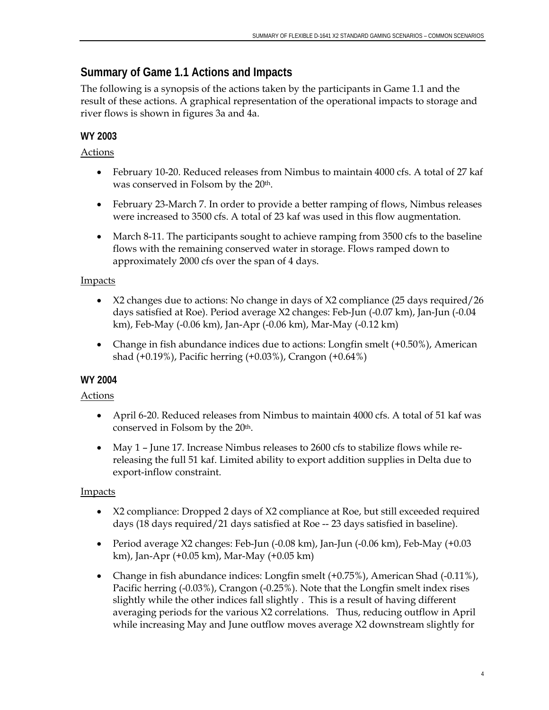# **Summary of Game 1.1 Actions and Impacts**

The following is a synopsis of the actions taken by the participants in Game 1.1 and the result of these actions. A graphical representation of the operational impacts to storage and river flows is shown in figures 3a and 4a.

## **WY 2003**

#### Actions

- February 10-20. Reduced releases from Nimbus to maintain 4000 cfs. A total of 27 kaf was conserved in Folsom by the 20<sup>th</sup>.
- February 23-March 7. In order to provide a better ramping of flows, Nimbus releases were increased to 3500 cfs. A total of 23 kaf was used in this flow augmentation.
- March 8-11. The participants sought to achieve ramping from 3500 cfs to the baseline flows with the remaining conserved water in storage. Flows ramped down to approximately 2000 cfs over the span of 4 days.

### **Impacts**

- X2 changes due to actions: No change in days of X2 compliance (25 days required/26 days satisfied at Roe). Period average X2 changes: Feb-Jun (-0.07 km), Jan-Jun (-0.04 km), Feb-May (-0.06 km), Jan-Apr (-0.06 km), Mar-May (-0.12 km)
- Change in fish abundance indices due to actions: Longfin smelt (+0.50%), American shad (+0.19%), Pacific herring (+0.03%), Crangon (+0.64%)

# **WY 2004**

### Actions

- April 6-20. Reduced releases from Nimbus to maintain 4000 cfs. A total of 51 kaf was conserved in Folsom by the 20th.
- May 1 June 17. Increase Nimbus releases to 2600 cfs to stabilize flows while rereleasing the full 51 kaf. Limited ability to export addition supplies in Delta due to export-inflow constraint.

### Impacts

- X2 compliance: Dropped 2 days of X2 compliance at Roe, but still exceeded required days (18 days required/21 days satisfied at Roe -- 23 days satisfied in baseline).
- Period average X2 changes: Feb-Jun (-0.08 km), Jan-Jun (-0.06 km), Feb-May (+0.03 km), Jan-Apr (+0.05 km), Mar-May (+0.05 km)
- Change in fish abundance indices: Longfin smelt (+0.75%), American Shad (-0.11%), Pacific herring (-0.03%), Crangon (-0.25%). Note that the Longfin smelt index rises slightly while the other indices fall slightly . This is a result of having different averaging periods for the various X2 correlations. Thus, reducing outflow in April while increasing May and June outflow moves average X2 downstream slightly for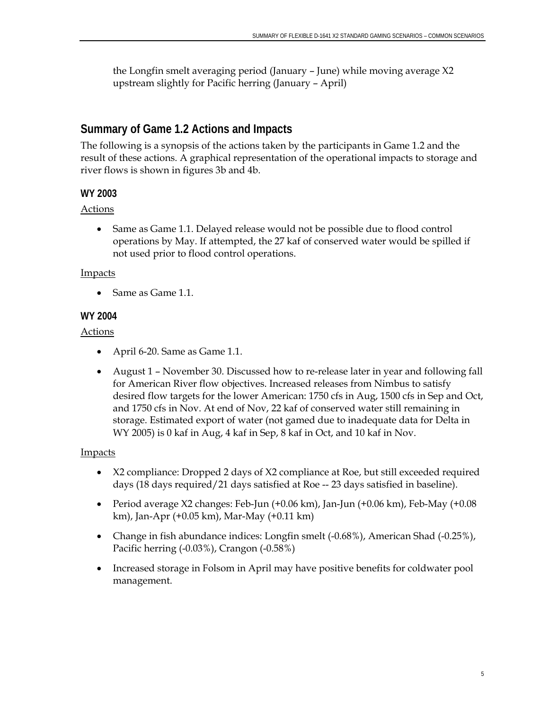the Longfin smelt averaging period (January – June) while moving average X2 upstream slightly for Pacific herring (January – April)

### **Summary of Game 1.2 Actions and Impacts**

The following is a synopsis of the actions taken by the participants in Game 1.2 and the result of these actions. A graphical representation of the operational impacts to storage and river flows is shown in figures 3b and 4b.

#### **WY 2003**

#### Actions

• Same as Game 1.1. Delayed release would not be possible due to flood control operations by May. If attempted, the 27 kaf of conserved water would be spilled if not used prior to flood control operations.

#### Impacts

• Same as Game 1.1.

#### **WY 2004**

#### Actions

- April 6-20. Same as Game 1.1.
- August 1 November 30. Discussed how to re-release later in year and following fall for American River flow objectives. Increased releases from Nimbus to satisfy desired flow targets for the lower American: 1750 cfs in Aug, 1500 cfs in Sep and Oct, and 1750 cfs in Nov. At end of Nov, 22 kaf of conserved water still remaining in storage. Estimated export of water (not gamed due to inadequate data for Delta in WY 2005) is 0 kaf in Aug, 4 kaf in Sep, 8 kaf in Oct, and 10 kaf in Nov.

#### Impacts

- X2 compliance: Dropped 2 days of X2 compliance at Roe, but still exceeded required days (18 days required/21 days satisfied at Roe -- 23 days satisfied in baseline).
- Period average X2 changes: Feb-Jun (+0.06 km), Jan-Jun (+0.06 km), Feb-May (+0.08 km), Jan-Apr (+0.05 km), Mar-May (+0.11 km)
- Change in fish abundance indices: Longfin smelt (-0.68%), American Shad (-0.25%), Pacific herring (-0.03%), Crangon (-0.58%)
- Increased storage in Folsom in April may have positive benefits for coldwater pool management.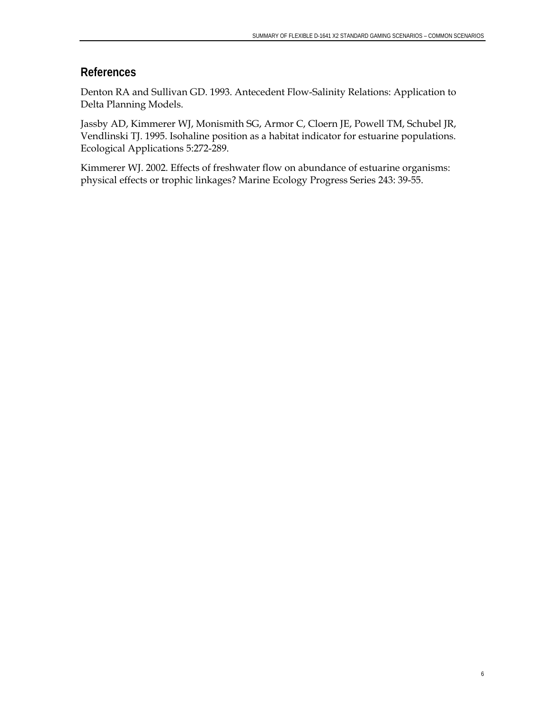#### **References**

Denton RA and Sullivan GD. 1993. Antecedent Flow-Salinity Relations: Application to Delta Planning Models.

Jassby AD, Kimmerer WJ, Monismith SG, Armor C, Cloern JE, Powell TM, Schubel JR, Vendlinski TJ. 1995. Isohaline position as a habitat indicator for estuarine populations. Ecological Applications 5:272-289.

Kimmerer WJ. 2002. Effects of freshwater flow on abundance of estuarine organisms: physical effects or trophic linkages? Marine Ecology Progress Series 243: 39-55.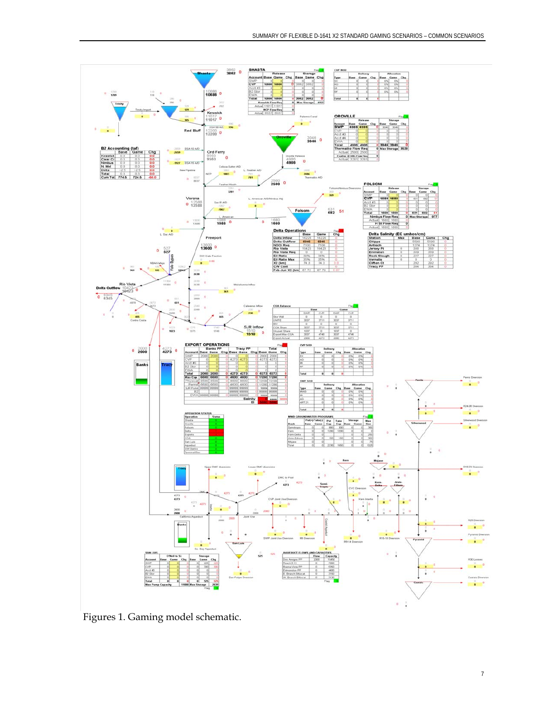

Figures 1. Gaming model schematic.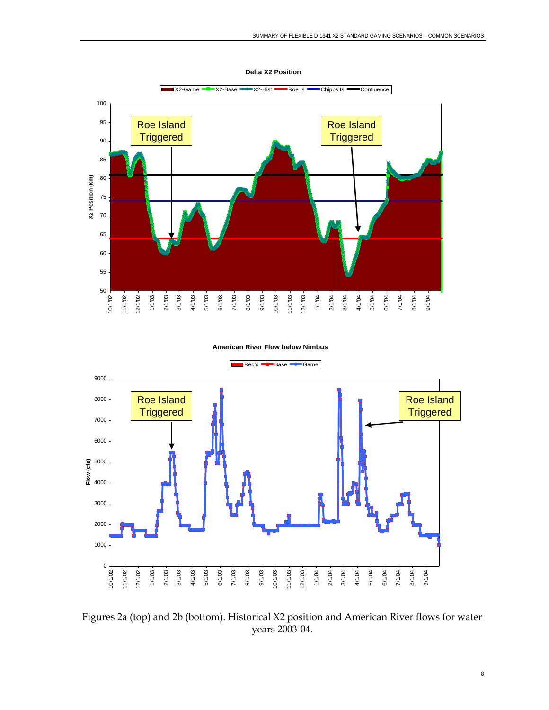

**Delta X2 Position**

#### **American River Flow below Nimbus**



Figures 2a (top) and 2b (bottom). Historical X2 position and American River flows for water years 2003-04.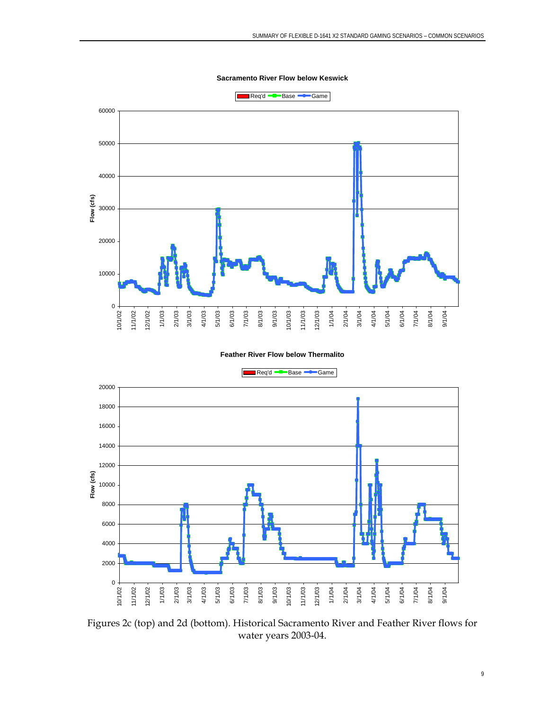**Sacramento River Flow below Keswick**



#### **Feather River Flow below Thermalito**



Figures 2c (top) and 2d (bottom). Historical Sacramento River and Feather River flows for water years 2003-04.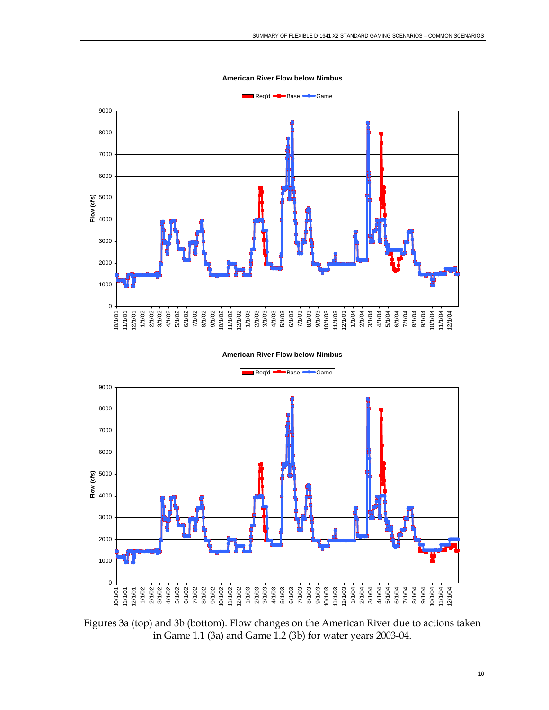**American River Flow below Nimbus**



#### **American River Flow below Nimbus**



Figures 3a (top) and 3b (bottom). Flow changes on the American River due to actions taken in Game 1.1 (3a) and Game 1.2 (3b) for water years 2003-04.